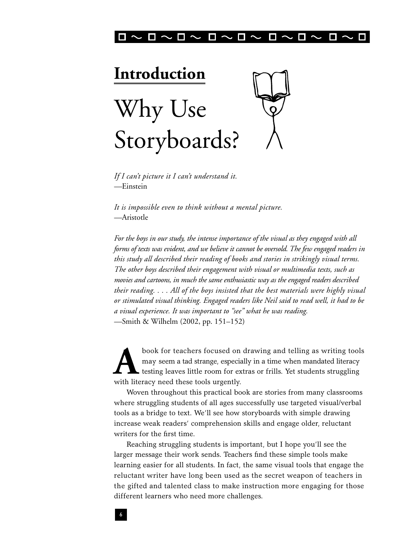



*If I can't picture it I can't understand it. —*Einstein

*It is impossible even to think without a mental picture. —*Aristotle

*For the boys in our study, the intense importance of the visual as they engaged with all forms of texts was evident, and we believe it cannot be oversold. The few engaged readers in this study all described their reading of books and stories in strikingly visual terms. The other boys described their engagement with visual or multimedia texts, such as movies and cartoons, in much the same enthusiastic way as the engaged readers described their reading. . . . All of the boys insisted that the best materials were highly visual or stimulated visual thinking. Engaged readers like Neil said to read well, it had to be a visual experience. It was important to "see" what he was reading. —*Smith & Wilhelm (2002, pp. 151–152)

book for teachers focused on drawing and telling as writing tools<br>may seem a tad strange, especially in a time when mandated literacy<br>testing leaves little room for extras or frills. Yet students struggling<br>with literacy n may seem a tad strange, especially in a time when mandated literacy testing leaves little room for extras or frills. Yet students struggling with literacy need these tools urgently.

Woven throughout this practical book are stories from many classrooms where struggling students of all ages successfully use targeted visual/verbal tools as a bridge to text. We'll see how storyboards with simple drawing increase weak readers' comprehension skills and engage older, reluctant writers for the first time.

Reaching struggling students is important, but I hope you'll see the larger message their work sends. Teachers find these simple tools make learning easier for all students. In fact, the same visual tools that engage the reluctant writer have long been used as the secret weapon of teachers in the gifted and talented class to make instruction more engaging for those different learners who need more challenges.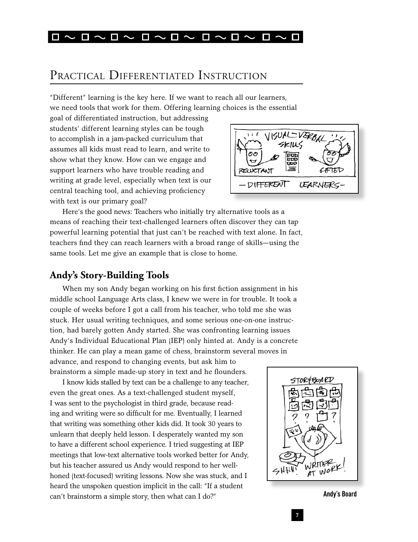#### $\sim$   $\Box$   $\sim$  $\Box \sim \Box \sim \Box \sim \Box \sim$ I

# PRACTICAL DIFFERENTIATED INSTRUCTION

"Different" learning is the key here. If we want to reach all our learners, we need tools that work for them. Offering learning choices is the essential

goal of differentiated instruction, but addressing students' different learning styles can be tough to accomplish in a jam-packed curriculum that assumes all kids must read to learn, and write to show what they know. How can we engage and support learners who have trouble reading and writing at grade level, especially when text is our central teaching tool, and achieving proficiency with text is our primary goal?



Here's the good news: Teachers who initially try alternative tools as a means of reaching their text-challenged learners often discover they can tap powerful learning potential that just can't be reached with text alone. In fact, teachers find they can reach learners with a broad range of skills—using the same tools. Let me give an example that is close to home.

### **Andy's Story-Building Tools**

When my son Andy began working on his first fiction assignment in his middle school Language Arts class, I knew we were in for trouble. It took a couple of weeks before I got a call from his teacher, who told me she was stuck. Her usual writing techniques, and some serious one-on-one instruction, had barely gotten Andy started. She was confronting learning issues Andy's Individual Educational Plan (IEP) only hinted at. Andy is a concrete thinker. He can play a mean game of chess, brainstorm several moves in advance, and respond to changing events, but ask him to

brainstorm a simple made-up story in text and he flounders. I know kids stalled by text can be a challenge to any teacher, even the great ones. As a text-challenged student myself, I was sent to the psychologist in third grade, because reading and writing were so difficult for me. Eventually, I learned that writing was something other kids did. It took 30 years to unlearn that deeply held lesson. I desperately wanted my son to have a different school experience. I tried suggesting at IEP meetings that low-text alternative tools worked better for Andy, but his teacher assured us Andy would respond to her wellhoned (text-focused) writing lessons. Now she was stuck, and I heard the unspoken question implicit in the call: "If a student can't brainstorm a simple story, then what can I do?"

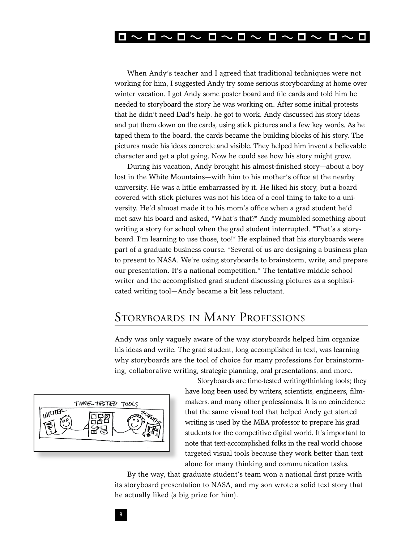

When Andy's teacher and I agreed that traditional techniques were not working for him, I suggested Andy try some serious storyboarding at home over winter vacation. I got Andy some poster board and file cards and told him he needed to storyboard the story he was working on. After some initial protests that he didn't need Dad's help, he got to work. Andy discussed his story ideas and put them down on the cards, using stick pictures and a few key words. As he taped them to the board, the cards became the building blocks of his story. The pictures made his ideas concrete and visible. They helped him invent a believable character and get a plot going. Now he could see how his story might grow.

During his vacation, Andy brought his almost-finished story—about a boy lost in the White Mountains—with him to his mother's office at the nearby university. He was a little embarrassed by it. He liked his story, but a board covered with stick pictures was not his idea of a cool thing to take to a university. He'd almost made it to his mom's office when a grad student he'd met saw his board and asked, "What's that?" Andy mumbled something about writing a story for school when the grad student interrupted. "That's a storyboard. I'm learning to use those, too!" He explained that his storyboards were part of a graduate business course. "Several of us are designing a business plan to present to NASA. We're using storyboards to brainstorm, write, and prepare our presentation. It's a national competition." The tentative middle school writer and the accomplished grad student discussing pictures as a sophisticated writing tool—Andy became a bit less reluctant.

# Storyboards in Many Professions

Andy was only vaguely aware of the way storyboards helped him organize his ideas and write. The grad student, long accomplished in text, was learning why storyboards are the tool of choice for many professions for brainstorming, collaborative writing, strategic planning, oral presentations, and more.



Storyboards are time-tested writing/thinking tools; they have long been used by writers, scientists, engineers, filmmakers, and many other professionals. It is no coincidence that the same visual tool that helped Andy get started writing is used by the MBA professor to prepare his grad students for the competitive digital world. It's important to note that text-accomplished folks in the real world choose targeted visual tools because they work better than text alone for many thinking and communication tasks.

By the way, that graduate student's team won a national first prize with its storyboard presentation to NASA, and my son wrote a solid text story that he actually liked (a big prize for him).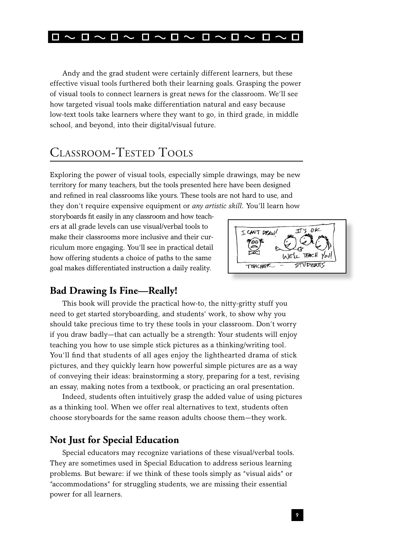

Andy and the grad student were certainly different learners, but these effective visual tools furthered both their learning goals. Grasping the power of visual tools to connect learners is great news for the classroom. We'll see how targeted visual tools make differentiation natural and easy because low-text tools take learners where they want to go, in third grade, in middle school, and beyond, into their digital/visual future.

# Classroom-Tested Tools

Exploring the power of visual tools, especially simple drawings, may be new territory for many teachers, but the tools presented here have been designed and refined in real classrooms like yours. These tools are not hard to use, and they don't require expensive equipment or *any artistic skill*. You'll learn how

storyboards fit easily in any classroom and how teachers at all grade levels can use visual/verbal tools to make their classrooms more inclusive and their curriculum more engaging. You'll see in practical detail how offering students a choice of paths to the same goal makes differentiated instruction a daily reality.



### **Bad Drawing Is Fine—Really!**

This book will provide the practical how-to, the nitty-gritty stuff you need to get started storyboarding, and students' work, to show why you should take precious time to try these tools in your classroom. Don't worry if you draw badly—that can actually be a strength: Your students will enjoy teaching you how to use simple stick pictures as a thinking/writing tool. You'll find that students of all ages enjoy the lighthearted drama of stick pictures, and they quickly learn how powerful simple pictures are as a way of conveying their ideas: brainstorming a story, preparing for a test, revising an essay, making notes from a textbook, or practicing an oral presentation.

Indeed, students often intuitively grasp the added value of using pictures as a thinking tool. When we offer real alternatives to text, students often choose storyboards for the same reason adults choose them—they work.

### **Not Just for Special Education**

Special educators may recognize variations of these visual/verbal tools. They are sometimes used in Special Education to address serious learning problems. But beware: if we think of these tools simply as "visual aids" or "accommodations" for struggling students, we are missing their essential power for all learners.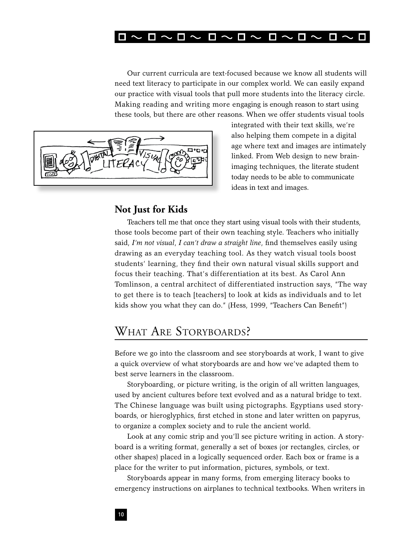#### $\Box \sim$  $\square\sim\square\sim$  $\mathsf{\Pi} \thicksim$ IПI

Our current curricula are text-focused because we know all students will need text literacy to participate in our complex world. We can easily expand our practice with visual tools that pull more students into the literacy circle. Making reading and writing more engaging is enough reason to start using these tools, but there are other reasons. When we offer students visual tools



integrated with their text skills, we're also helping them compete in a digital age where text and images are intimately linked. From Web design to new brainimaging techniques, the literate student today needs to be able to communicate ideas in text and images.

### **Not Just for Kids**

Teachers tell me that once they start using visual tools with their students, those tools become part of their own teaching style. Teachers who initially said, *I'm not visual*, *I can't draw a straight line*, find themselves easily using drawing as an everyday teaching tool. As they watch visual tools boost students' learning, they find their own natural visual skills support and focus their teaching. That's differentiation at its best. As Carol Ann Tomlinson, a central architect of differentiated instruction says, "The way to get there is to teach [teachers] to look at kids as individuals and to let kids show you what they can do." (Hess, 1999, "Teachers Can Benefit")

## WHAT ARE STORYBOARDS?

Before we go into the classroom and see storyboards at work, I want to give a quick overview of what storyboards are and how we've adapted them to best serve learners in the classroom.

Storyboarding, or picture writing, is the origin of all written languages, used by ancient cultures before text evolved and as a natural bridge to text. The Chinese language was built using pictographs. Egyptians used storyboards, or hieroglyphics, first etched in stone and later written on papyrus, to organize a complex society and to rule the ancient world.

Look at any comic strip and you'll see picture writing in action. A storyboard is a writing format, generally a set of boxes (or rectangles, circles, or other shapes) placed in a logically sequenced order. Each box or frame is a place for the writer to put information, pictures, symbols, or text.

Storyboards appear in many forms, from emerging literacy books to emergency instructions on airplanes to technical textbooks. When writers in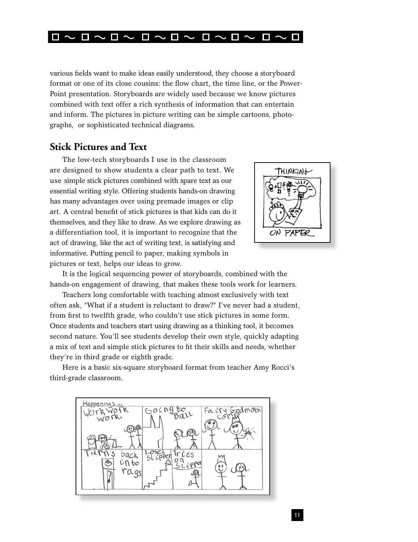

various fields want to make ideas easily understood, they choose a storyboard format or one of its close cousins: the flow chart, the time line, or the Power-Point presentation. Storyboards are widely used because we know pictures combined with text offer a rich synthesis of information that can entertain and inform. The pictures in picture writing can be simple cartoons, photographs, or sophisticated technical diagrams.

### **Stick Pictures and Text**

The low-tech storyboards I use in the classroom are designed to show students a clear path to text. We use simple stick pictures combined with spare text as our essential writing style. Offering students hands-on drawing has many advantages over using premade images or clip art. A central benefit of stick pictures is that kids can do it themselves, and they like to draw. As we explore drawing as a differentiation tool, it is important to recognize that the act of drawing, like the act of writing text, is satisfying and informative. Putting pencil to paper, making symbols in pictures or text, helps our ideas to grow.



It is the logical sequencing power of storyboards, combined with the hands-on engagement of drawing, that makes these tools work for learners.

Teachers long comfortable with teaching almost exclusively with text often ask, "What if a student is reluctant to draw?" I've never had a student, from first to twelfth grade, who couldn't use stick pictures in some form. Once students and teachers start using drawing as a thinking tool, it becomes second nature. You'll see students develop their own style, quickly adapting a mix of text and simple stick pictures to fit their skills and needs, whether they're in third grade or eighth grade.

Here is a basic six-square storyboard format from teacher Amy Rocci's third-grade classroom.

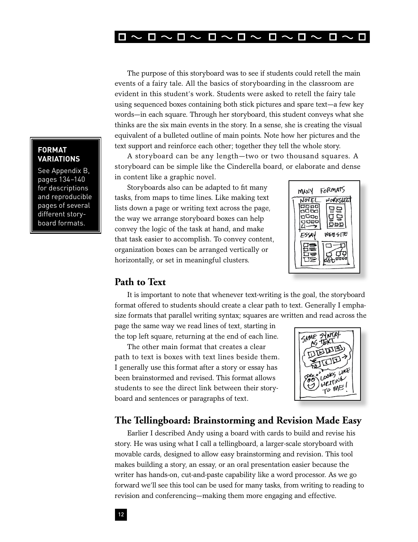

The purpose of this storyboard was to see if students could retell the main events of a fairy tale. All the basics of storyboarding in the classroom are evident in this student's work. Students were asked to retell the fairy tale using sequenced boxes containing both stick pictures and spare text—a few key words—in each square. Through her storyboard, this student conveys what she thinks are the six main events in the story. In a sense, she is creating the visual equivalent of a bulleted outline of main points. Note how her pictures and the text support and reinforce each other; together they tell the whole story.

A storyboard can be any length—two or two thousand squares. A storyboard can be simple like the Cinderella board, or elaborate and dense in content like a graphic novel.

Storyboards also can be adapted to fit many tasks, from maps to time lines. Like making text lists down a page or writing text across the page, the way we arrange storyboard boxes can help convey the logic of the task at hand, and make that task easier to accomplish. To convey content, organization boxes can be arranged vertically or horizontally, or set in meaningful clusters.



#### **Path to Text**

It is important to note that whenever text-writing is the goal, the storyboard format offered to students should create a clear path to text. Generally I emphasize formats that parallel writing syntax; squares are written and read across the

page the same way we read lines of text, starting in the top left square, returning at the end of each line.

The other main format that creates a clear path to text is boxes with text lines beside them. I generally use this format after a story or essay has been brainstormed and revised. This format allows students to see the direct link between their storyboard and sentences or paragraphs of text.



### **The Tellingboard: Brainstorming and Revision Made Easy**

Earlier I described Andy using a board with cards to build and revise his story. He was using what I call a tellingboard, a larger-scale storyboard with movable cards, designed to allow easy brainstorming and revision. This tool makes building a story, an essay, or an oral presentation easier because the writer has hands-on, cut-and-paste capability like a word processor. As we go forward we'll see this tool can be used for many tasks, from writing to reading to revision and conferencing—making them more engaging and effective.

#### **Format Variations**

See Appendix B, pages 134–140 for descriptions and reproducible pages of several different storyboard formats.